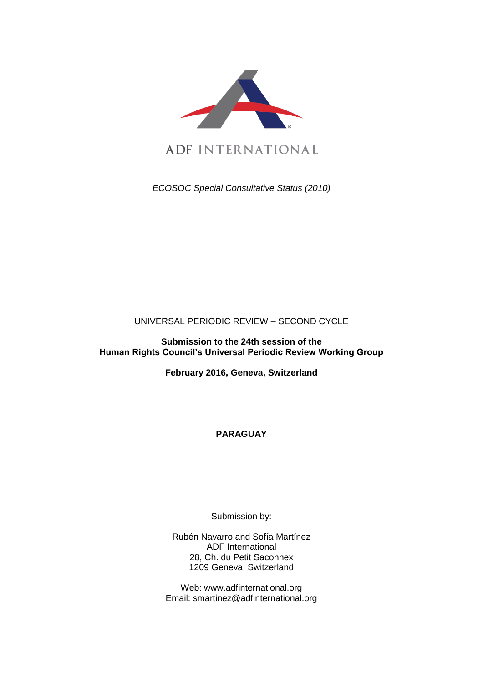

*ECOSOC Special Consultative Status (2010)*

# UNIVERSAL PERIODIC REVIEW – SECOND CYCLE

**Submission to the 24th session of the Human Rights Council's Universal Periodic Review Working Group** 

**February 2016, Geneva, Switzerland**

**PARAGUAY**

Submission by:

Rubén Navarro and Sofía Martínez ADF International 28, Ch. du Petit Saconnex 1209 Geneva, Switzerland

Web: www.adfinternational.org Email: smartinez@adfinternational.org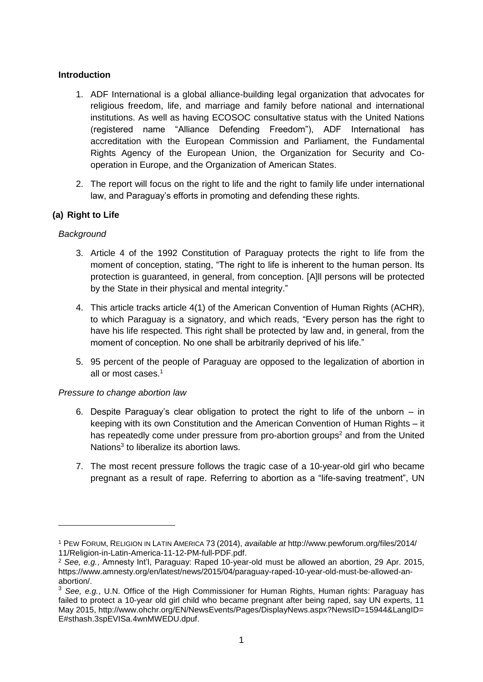### **Introduction**

- 1. ADF International is a global alliance-building legal organization that advocates for religious freedom, life, and marriage and family before national and international institutions. As well as having ECOSOC consultative status with the United Nations (registered name "Alliance Defending Freedom"), ADF International has accreditation with the European Commission and Parliament, the Fundamental Rights Agency of the European Union, the Organization for Security and Cooperation in Europe, and the Organization of American States.
- 2. The report will focus on the right to life and the right to family life under international law, and Paraguay's efforts in promoting and defending these rights.

# **(a) Right to Life**

# *Background*

-

- 3. Article 4 of the 1992 Constitution of Paraguay protects the right to life from the moment of conception, stating, "The right to life is inherent to the human person. Its protection is guaranteed, in general, from conception. [A]ll persons will be protected by the State in their physical and mental integrity."
- 4. This article tracks article 4(1) of the American Convention of Human Rights (ACHR), to which Paraguay is a signatory, and which reads, "Every person has the right to have his life respected. This right shall be protected by law and, in general, from the moment of conception. No one shall be arbitrarily deprived of his life."
- 5. 95 percent of the people of Paraguay are opposed to the legalization of abortion in all or most cases.<sup>1</sup>

#### *Pressure to change abortion law*

- 6. Despite Paraguay's clear obligation to protect the right to life of the unborn in keeping with its own Constitution and the American Convention of Human Rights – it has repeatedly come under pressure from pro-abortion groups<sup>2</sup> and from the United Nations<sup>3</sup> to liberalize its abortion laws.
- 7. The most recent pressure follows the tragic case of a 10-year-old girl who became pregnant as a result of rape. Referring to abortion as a "life-saving treatment", UN

<sup>1</sup> PEW FORUM, RELIGION IN LATIN AMERICA 73 (2014), *available at* http://www.pewforum.org/files/2014/ 11/Religion-in-Latin-America-11-12-PM-full-PDF.pdf.

<sup>2</sup> *See, e.g.*, Amnesty Int'l, Paraguay: Raped 10-year-old must be allowed an abortion, 29 Apr. 2015, https://www.amnesty.org/en/latest/news/2015/04/paraguay-raped-10-year-old-must-be-allowed-anabortion/.

<sup>&</sup>lt;sup>3</sup> See. e.a., U.N. Office of the High Commissioner for Human Rights, Human rights: Paraguay has failed to protect a 10-year old girl child who became pregnant after being raped, say UN experts, 11 May 2015, http://www.ohchr.org/EN/NewsEvents/Pages/DisplayNews.aspx?NewsID=15944&LangID= E#sthash.3spEVISa.4wnMWEDU.dpuf.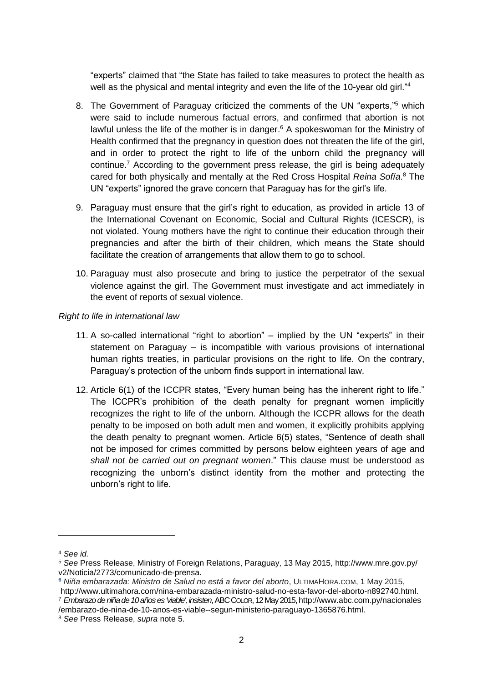"experts" claimed that "the State has failed to take measures to protect the health as well as the physical and mental integrity and even the life of the 10-year old girl."<sup>4</sup>

- 8. The Government of Paraguay criticized the comments of the UN "experts,"<sup>5</sup> which were said to include numerous factual errors, and confirmed that abortion is not lawful unless the life of the mother is in danger.<sup>6</sup> A spokeswoman for the Ministry of Health confirmed that the pregnancy in question does not threaten the life of the girl, and in order to protect the right to life of the unborn child the pregnancy will continue.<sup>7</sup> According to the government press release, the girl is being adequately cared for both physically and mentally at the Red Cross Hospital *Reina Sofía*. <sup>8</sup> The UN "experts" ignored the grave concern that Paraguay has for the girl's life.
- 9. Paraguay must ensure that the girl's right to education, as provided in article 13 of the International Covenant on Economic, Social and Cultural Rights (ICESCR), is not violated. Young mothers have the right to continue their education through their pregnancies and after the birth of their children, which means the State should facilitate the creation of arrangements that allow them to go to school.
- 10. Paraguay must also prosecute and bring to justice the perpetrator of the sexual violence against the girl. The Government must investigate and act immediately in the event of reports of sexual violence.

*Right to life in international law*

- 11. A so-called international "right to abortion" implied by the UN "experts" in their statement on Paraguay – is incompatible with various provisions of international human rights treaties, in particular provisions on the right to life. On the contrary, Paraguay's protection of the unborn finds support in international law.
- 12. Article 6(1) of the ICCPR states, "Every human being has the inherent right to life." The ICCPR's prohibition of the death penalty for pregnant women implicitly recognizes the right to life of the unborn. Although the ICCPR allows for the death penalty to be imposed on both adult men and women, it explicitly prohibits applying the death penalty to pregnant women. Article 6(5) states, "Sentence of death shall not be imposed for crimes committed by persons below eighteen years of age and *shall not be carried out on pregnant women*." This clause must be understood as recognizing the unborn's distinct identity from the mother and protecting the unborn's right to life.

<sup>4</sup> *See id.*

<sup>5</sup> *See* Press Release, Ministry of Foreign Relations, Paraguay, 13 May 2015, http://www.mre.gov.py/ v2/Noticia/2773/comunicado-de-prensa.

**<sup>6</sup>** *Niña embarazada: Ministro de Salud no está a favor del aborto*, ULTIMAHORA.COM, 1 May 2015, http://www.ultimahora.com/nina-embarazada-ministro-salud-no-esta-favor-del-aborto-n892740.html.

<sup>7</sup> *Embarazo de niña de 10 años es 'viable', insisten*, ABCCOLOR, 12 May 2015, http://www.abc.com.py/nacionales /embarazo-de-nina-de-10-anos-es-viable--segun-ministerio-paraguayo-1365876.html.

<sup>8</sup> *See* Press Release, *supra* note 5.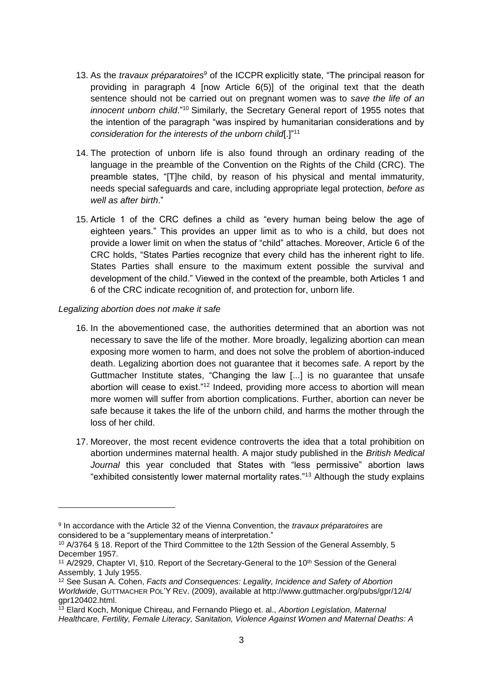- 13. As the *travaux préparatoires*<sup>9</sup> of the ICCPR explicitly state, "The principal reason for providing in paragraph 4 [now Article 6(5)] of the original text that the death sentence should not be carried out on pregnant women was to *save the life of an innocent unborn child*."<sup>10</sup> Similarly, the Secretary General report of 1955 notes that the intention of the paragraph "was inspired by humanitarian considerations and by *consideration for the interests of the unborn child*[.]" 11
- 14. The protection of unborn life is also found through an ordinary reading of the language in the preamble of the Convention on the Rights of the Child (CRC). The preamble states, "[T]he child, by reason of his physical and mental immaturity, needs special safeguards and care, including appropriate legal protection, *before as well as after birth*."
- 15. Article 1 of the CRC defines a child as "every human being below the age of eighteen years." This provides an upper limit as to who is a child, but does not provide a lower limit on when the status of "child" attaches. Moreover, Article 6 of the CRC holds, "States Parties recognize that every child has the inherent right to life. States Parties shall ensure to the maximum extent possible the survival and development of the child." Viewed in the context of the preamble, both Articles 1 and 6 of the CRC indicate recognition of, and protection for, unborn life.

#### *Legalizing abortion does not make it safe*

- 16. In the abovementioned case, the authorities determined that an abortion was not necessary to save the life of the mother. More broadly, legalizing abortion can mean exposing more women to harm, and does not solve the problem of abortion-induced death. Legalizing abortion does not guarantee that it becomes safe. A report by the Guttmacher Institute states, "Changing the law [...] is no guarantee that unsafe abortion will cease to exist."<sup>12</sup> Indeed, providing more access to abortion will mean more women will suffer from abortion complications. Further, abortion can never be safe because it takes the life of the unborn child, and harms the mother through the loss of her child.
- 17. Moreover, the most recent evidence controverts the idea that a total prohibition on abortion undermines maternal health. A major study published in the *British Medical Journal* this year concluded that States with "less permissive" abortion laws "exhibited consistently lower maternal mortality rates."<sup>13</sup> Although the study explains

<sup>9</sup> In accordance with the Article 32 of the Vienna Convention, the *travaux préparatoires* are considered to be a "supplementary means of interpretation."

<sup>10</sup> A/3764 § 18. Report of the Third Committee to the 12th Session of the General Assembly, 5 December 1957.

<sup>&</sup>lt;sup>11</sup> A/2929, Chapter VI, §10. Report of the Secretary-General to the 10<sup>th</sup> Session of the General Assembly, 1 July 1955.

<sup>12</sup> See Susan A. Cohen, *Facts and Consequences: Legality, Incidence and Safety of Abortion Worldwide*, GUTTMACHER POL'Y REV. (2009), available at http://www.guttmacher.org/pubs/gpr/12/4/ gpr120402.html.

<sup>13</sup> Elard Koch, Monique Chireau, and Fernando Pliego et. al., *Abortion Legislation, Maternal Healthcare, Fertility, Female Literacy, Sanitation, Violence Against Women and Maternal Deaths: A*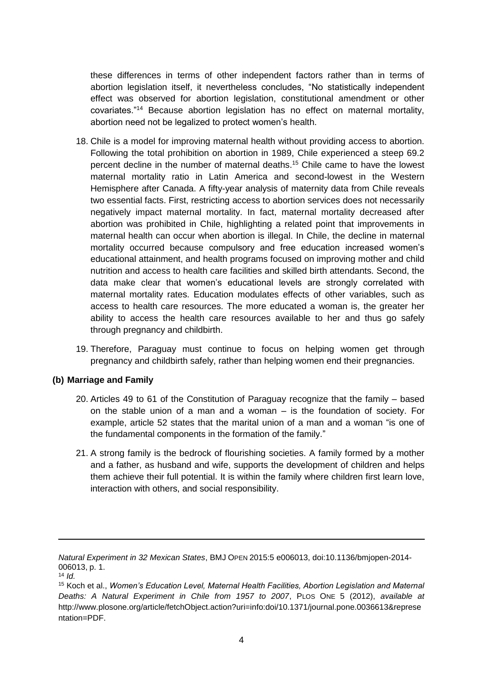these differences in terms of other independent factors rather than in terms of abortion legislation itself, it nevertheless concludes, "No statistically independent effect was observed for abortion legislation, constitutional amendment or other covariates."<sup>14</sup> Because abortion legislation has no effect on maternal mortality, abortion need not be legalized to protect women's health.

- 18. Chile is a model for improving maternal health without providing access to abortion. Following the total prohibition on abortion in 1989, Chile experienced a steep 69.2 percent decline in the number of maternal deaths.<sup>15</sup> Chile came to have the lowest maternal mortality ratio in Latin America and second-lowest in the Western Hemisphere after Canada. A fifty-year analysis of maternity data from Chile reveals two essential facts. First, restricting access to abortion services does not necessarily negatively impact maternal mortality. In fact, maternal mortality decreased after abortion was prohibited in Chile, highlighting a related point that improvements in maternal health can occur when abortion is illegal. In Chile, the decline in maternal mortality occurred because compulsory and free education increased women's educational attainment, and health programs focused on improving mother and child nutrition and access to health care facilities and skilled birth attendants. Second, the data make clear that women's educational levels are strongly correlated with maternal mortality rates. Education modulates effects of other variables, such as access to health care resources. The more educated a woman is, the greater her ability to access the health care resources available to her and thus go safely through pregnancy and childbirth.
- 19. Therefore, Paraguay must continue to focus on helping women get through pregnancy and childbirth safely, rather than helping women end their pregnancies.

#### **(b) Marriage and Family**

- 20. Articles 49 to 61 of the Constitution of Paraguay recognize that the family based on the stable union of a man and a woman – is the foundation of society. For example, article 52 states that the marital union of a man and a woman "is one of the fundamental components in the formation of the family."
- 21. A strong family is the bedrock of flourishing societies. A family formed by a mother and a father, as husband and wife, supports the development of children and helps them achieve their full potential. It is within the family where children first learn love, interaction with others, and social responsibility.

*Natural Experiment in 32 Mexican States*, BMJ OPEN 2015:5 e006013, doi:10.1136/bmjopen-2014- 006013, p. 1.

<sup>14</sup> *Id.*

<sup>15</sup> Koch et al., *Women's Education Level, Maternal Health Facilities, Abortion Legislation and Maternal Deaths: A Natural Experiment in Chile from 1957 to 2007*, PLOS ONE 5 (2012), *available at* http://www.plosone.org/article/fetchObject.action?uri=info:doi/10.1371/journal.pone.0036613&represe ntation=PDF.